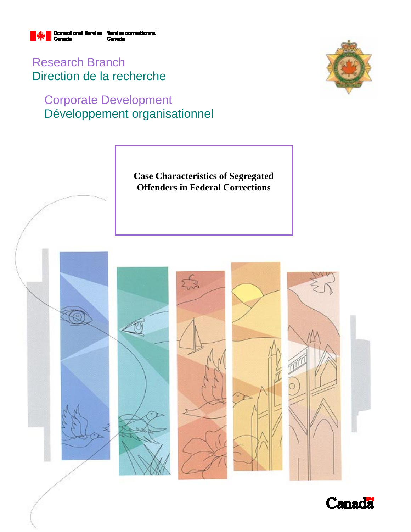

Research Branch Direction de la recherche

# Corporate Development Développement organisationnel





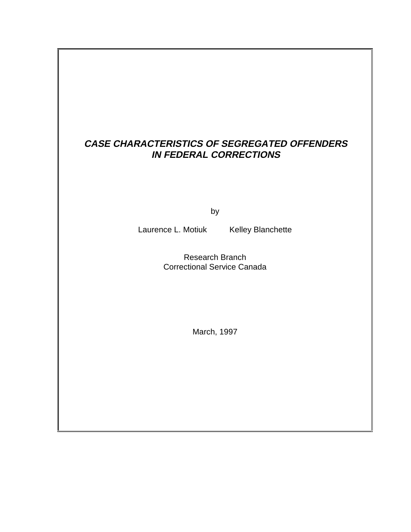# **CASE CHARACTERISTICS OF SEGREGATED OFFENDERS IN FEDERAL CORRECTIONS**

by

Laurence L. Motiuk Kelley Blanchette

Research Branch Correctional Service Canada

March, 1997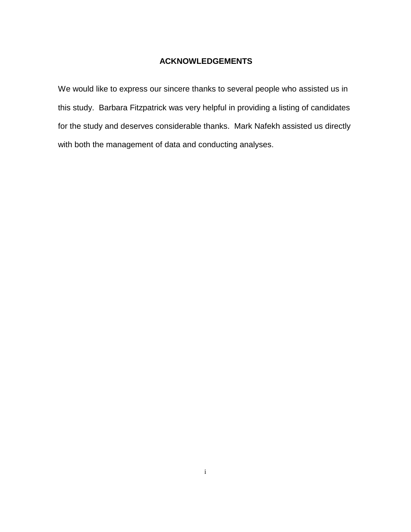### **ACKNOWLEDGEMENTS**

We would like to express our sincere thanks to several people who assisted us in this study. Barbara Fitzpatrick was very helpful in providing a listing of candidates for the study and deserves considerable thanks. Mark Nafekh assisted us directly with both the management of data and conducting analyses.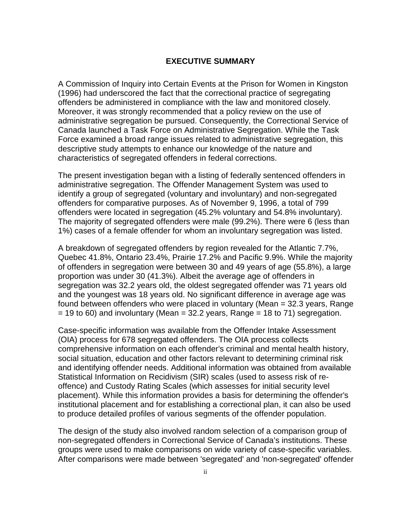#### **EXECUTIVE SUMMARY**

A Commission of Inquiry into Certain Events at the Prison for Women in Kingston (1996) had underscored the fact that the correctional practice of segregating offenders be administered in compliance with the law and monitored closely. Moreover, it was strongly recommended that a policy review on the use of administrative segregation be pursued. Consequently, the Correctional Service of Canada launched a Task Force on Administrative Segregation. While the Task Force examined a broad range issues related to administrative segregation, this descriptive study attempts to enhance our knowledge of the nature and characteristics of segregated offenders in federal corrections.

The present investigation began with a listing of federally sentenced offenders in administrative segregation. The Offender Management System was used to identify a group of segregated (voluntary and involuntary) and non-segregated offenders for comparative purposes. As of November 9, 1996, a total of 799 offenders were located in segregation (45.2% voluntary and 54.8% involuntary). The majority of segregated offenders were male (99.2%). There were 6 (less than 1%) cases of a female offender for whom an involuntary segregation was listed.

A breakdown of segregated offenders by region revealed for the Atlantic 7.7%, Quebec 41.8%, Ontario 23.4%, Prairie 17.2% and Pacific 9.9%. While the majority of offenders in segregation were between 30 and 49 years of age (55.8%), a large proportion was under 30 (41.3%). Albeit the average age of offenders in segregation was 32.2 years old, the oldest segregated offender was 71 years old and the youngest was 18 years old. No significant difference in average age was found between offenders who were placed in voluntary (Mean = 32.3 years, Range  $= 19$  to 60) and involuntary (Mean  $= 32.2$  years, Range  $= 18$  to 71) segregation.

Case-specific information was available from the Offender Intake Assessment (OIA) process for 678 segregated offenders. The OIA process collects comprehensive information on each offender's criminal and mental health history, social situation, education and other factors relevant to determining criminal risk and identifying offender needs. Additional information was obtained from available Statistical Information on Recidivism (SIR) scales (used to assess risk of reoffence) and Custody Rating Scales (which assesses for initial security level placement). While this information provides a basis for determining the offender's institutional placement and for establishing a correctional plan, it can also be used to produce detailed profiles of various segments of the offender population.

The design of the study also involved random selection of a comparison group of non-segregated offenders in Correctional Service of Canada's institutions. These groups were used to make comparisons on wide variety of case-specific variables. After comparisons were made between 'segregated' and 'non-segregated' offender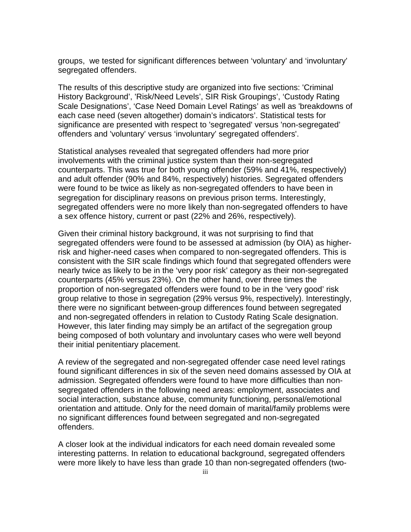groups, we tested for significant differences between 'voluntary' and 'involuntary' segregated offenders.

The results of this descriptive study are organized into five sections: 'Criminal History Background', 'Risk/Need Levels', SIR Risk Groupings', 'Custody Rating Scale Designations', 'Case Need Domain Level Ratings' as well as 'breakdowns of each case need (seven altogether) domain's indicators'. Statistical tests for significance are presented with respect to 'segregated' versus 'non-segregated' offenders and 'voluntary' versus 'involuntary' segregated offenders'.

Statistical analyses revealed that segregated offenders had more prior involvements with the criminal justice system than their non-segregated counterparts. This was true for both young offender (59% and 41%, respectively) and adult offender (90% and 84%, respectively) histories. Segregated offenders were found to be twice as likely as non-segregated offenders to have been in segregation for disciplinary reasons on previous prison terms. Interestingly, segregated offenders were no more likely than non-segregated offenders to have a sex offence history, current or past (22% and 26%, respectively).

Given their criminal history background, it was not surprising to find that segregated offenders were found to be assessed at admission (by OIA) as higherrisk and higher-need cases when compared to non-segregated offenders. This is consistent with the SIR scale findings which found that segregated offenders were nearly twice as likely to be in the 'very poor risk' category as their non-segregated counterparts (45% versus 23%). On the other hand, over three times the proportion of non-segregated offenders were found to be in the 'very good' risk group relative to those in segregation (29% versus 9%, respectively). Interestingly, there were no significant between-group differences found between segregated and non-segregated offenders in relation to Custody Rating Scale designation. However, this later finding may simply be an artifact of the segregation group being composed of both voluntary and involuntary cases who were well beyond their initial penitentiary placement.

A review of the segregated and non-segregated offender case need level ratings found significant differences in six of the seven need domains assessed by OIA at admission. Segregated offenders were found to have more difficulties than nonsegregated offenders in the following need areas: employment, associates and social interaction, substance abuse, community functioning, personal/emotional orientation and attitude. Only for the need domain of marital/family problems were no significant differences found between segregated and non-segregated offenders.

A closer look at the individual indicators for each need domain revealed some interesting patterns. In relation to educational background, segregated offenders were more likely to have less than grade 10 than non-segregated offenders (two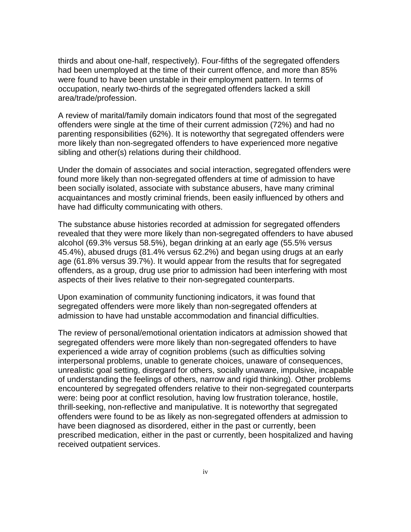thirds and about one-half, respectively). Four-fifths of the segregated offenders had been unemployed at the time of their current offence, and more than 85% were found to have been unstable in their employment pattern. In terms of occupation, nearly two-thirds of the segregated offenders lacked a skill area/trade/profession.

A review of marital/family domain indicators found that most of the segregated offenders were single at the time of their current admission (72%) and had no parenting responsibilities (62%). It is noteworthy that segregated offenders were more likely than non-segregated offenders to have experienced more negative sibling and other(s) relations during their childhood.

Under the domain of associates and social interaction, segregated offenders were found more likely than non-segregated offenders at time of admission to have been socially isolated, associate with substance abusers, have many criminal acquaintances and mostly criminal friends, been easily influenced by others and have had difficulty communicating with others.

The substance abuse histories recorded at admission for segregated offenders revealed that they were more likely than non-segregated offenders to have abused alcohol (69.3% versus 58.5%), began drinking at an early age (55.5% versus 45.4%), abused drugs (81.4% versus 62.2%) and began using drugs at an early age (61.8% versus 39.7%). It would appear from the results that for segregated offenders, as a group, drug use prior to admission had been interfering with most aspects of their lives relative to their non-segregated counterparts.

Upon examination of community functioning indicators, it was found that segregated offenders were more likely than non-segregated offenders at admission to have had unstable accommodation and financial difficulties.

The review of personal/emotional orientation indicators at admission showed that segregated offenders were more likely than non-segregated offenders to have experienced a wide array of cognition problems (such as difficulties solving interpersonal problems, unable to generate choices, unaware of consequences, unrealistic goal setting, disregard for others, socially unaware, impulsive, incapable of understanding the feelings of others, narrow and rigid thinking). Other problems encountered by segregated offenders relative to their non-segregated counterparts were: being poor at conflict resolution, having low frustration tolerance, hostile, thrill-seeking, non-reflective and manipulative. It is noteworthy that segregated offenders were found to be as likely as non-segregated offenders at admission to have been diagnosed as disordered, either in the past or currently, been prescribed medication, either in the past or currently, been hospitalized and having received outpatient services.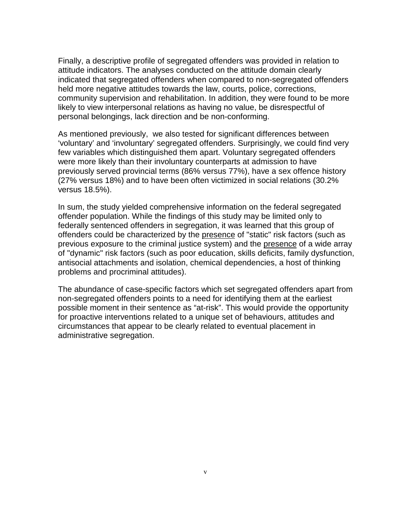Finally, a descriptive profile of segregated offenders was provided in relation to attitude indicators. The analyses conducted on the attitude domain clearly indicated that segregated offenders when compared to non-segregated offenders held more negative attitudes towards the law, courts, police, corrections, community supervision and rehabilitation. In addition, they were found to be more likely to view interpersonal relations as having no value, be disrespectful of personal belongings, lack direction and be non-conforming.

As mentioned previously, we also tested for significant differences between 'voluntary' and 'involuntary' segregated offenders. Surprisingly, we could find very few variables which distinguished them apart. Voluntary segregated offenders were more likely than their involuntary counterparts at admission to have previously served provincial terms (86% versus 77%), have a sex offence history (27% versus 18%) and to have been often victimized in social relations (30.2% versus 18.5%).

In sum, the study yielded comprehensive information on the federal segregated offender population. While the findings of this study may be limited only to federally sentenced offenders in segregation, it was learned that this group of offenders could be characterized by the presence of "static" risk factors (such as previous exposure to the criminal justice system) and the presence of a wide array of "dynamic" risk factors (such as poor education, skills deficits, family dysfunction, antisocial attachments and isolation, chemical dependencies, a host of thinking problems and procriminal attitudes).

The abundance of case-specific factors which set segregated offenders apart from non-segregated offenders points to a need for identifying them at the earliest possible moment in their sentence as "at-risk". This would provide the opportunity for proactive interventions related to a unique set of behaviours, attitudes and circumstances that appear to be clearly related to eventual placement in administrative segregation.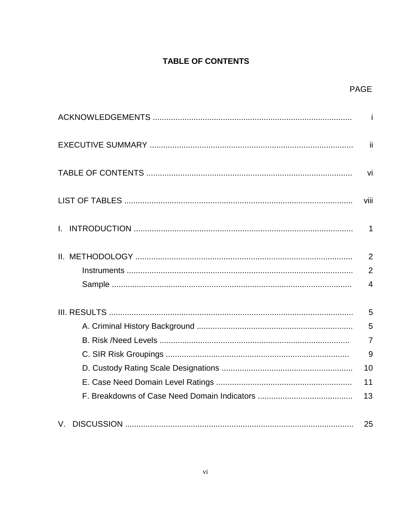# **TABLE OF CONTENTS**

|    | <b>PAGE</b>                                        |
|----|----------------------------------------------------|
|    | $-i$                                               |
|    | -ii                                                |
|    | vi                                                 |
|    | viii                                               |
|    | $\mathbf 1$                                        |
|    | $\overline{2}$<br>$\overline{2}$<br>$\overline{4}$ |
|    | 5<br>5<br>$\overline{7}$<br>9<br>10<br>11<br>13    |
| V. | 25                                                 |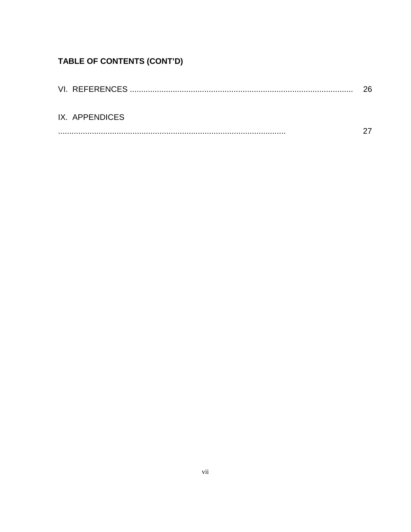# TABLE OF CONTENTS (CONT'D)

|                | 26 |
|----------------|----|
|                |    |
|                |    |
| IX. APPENDICES |    |
|                |    |
|                |    |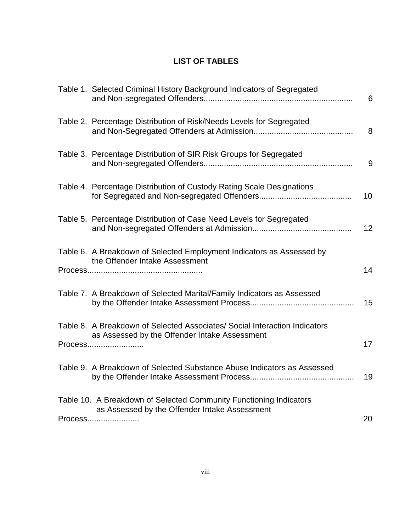# **LIST OF TABLES**

| Table 1. Selected Criminal History Background Indicators of Segregated                                                                 | 6  |
|----------------------------------------------------------------------------------------------------------------------------------------|----|
| Table 2. Percentage Distribution of Risk/Needs Levels for Segregated                                                                   | 8  |
| Table 3. Percentage Distribution of SIR Risk Groups for Segregated                                                                     | 9  |
| Table 4. Percentage Distribution of Custody Rating Scale Designations                                                                  | 10 |
| Table 5. Percentage Distribution of Case Need Levels for Segregated                                                                    | 12 |
| Table 6. A Breakdown of Selected Employment Indicators as Assessed by<br>the Offender Intake Assessment                                | 14 |
| Table 7. A Breakdown of Selected Marital/Family Indicators as Assessed                                                                 | 15 |
| Table 8. A Breakdown of Selected Associates/ Social Interaction Indicators<br>as Assessed by the Offender Intake Assessment<br>Process | 17 |
| Table 9. A Breakdown of Selected Substance Abuse Indicators as Assessed                                                                | 19 |
| Table 10. A Breakdown of Selected Community Functioning Indicators<br>as Assessed by the Offender Intake Assessment<br>Process         | 20 |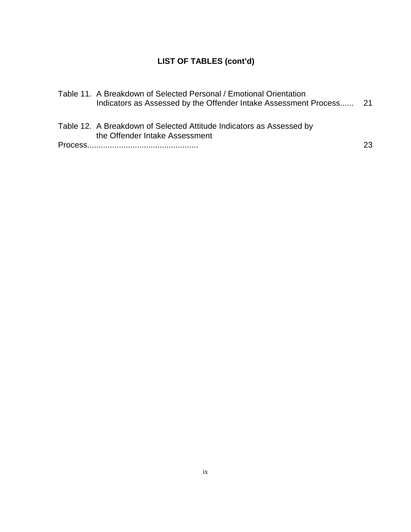# **LIST OF TABLES (cont'd)**

| Table 11. A Breakdown of Selected Personal / Emotional Orientation<br>Indicators as Assessed by the Offender Intake Assessment Process 21 |    |
|-------------------------------------------------------------------------------------------------------------------------------------------|----|
| Table 12. A Breakdown of Selected Attitude Indicators as Assessed by<br>the Offender Intake Assessment                                    |    |
|                                                                                                                                           | 23 |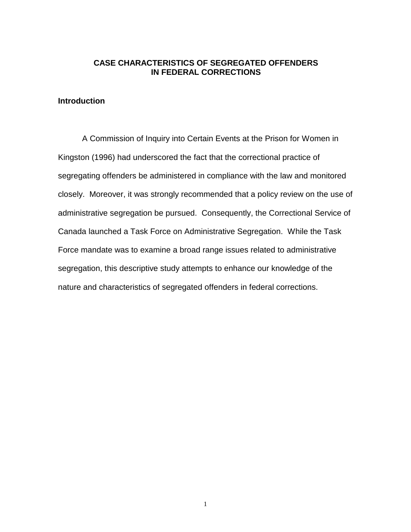# **CASE CHARACTERISTICS OF SEGREGATED OFFENDERS IN FEDERAL CORRECTIONS**

# **Introduction**

A Commission of Inquiry into Certain Events at the Prison for Women in Kingston (1996) had underscored the fact that the correctional practice of segregating offenders be administered in compliance with the law and monitored closely. Moreover, it was strongly recommended that a policy review on the use of administrative segregation be pursued. Consequently, the Correctional Service of Canada launched a Task Force on Administrative Segregation. While the Task Force mandate was to examine a broad range issues related to administrative segregation, this descriptive study attempts to enhance our knowledge of the nature and characteristics of segregated offenders in federal corrections.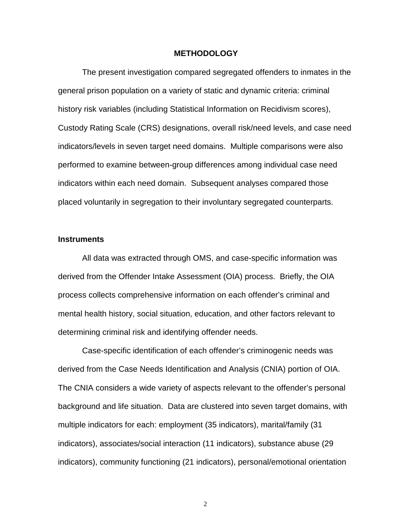#### **METHODOLOGY**

The present investigation compared segregated offenders to inmates in the general prison population on a variety of static and dynamic criteria: criminal history risk variables (including Statistical Information on Recidivism scores), Custody Rating Scale (CRS) designations, overall risk/need levels, and case need indicators/levels in seven target need domains. Multiple comparisons were also performed to examine between-group differences among individual case need indicators within each need domain. Subsequent analyses compared those placed voluntarily in segregation to their involuntary segregated counterparts.

#### **Instruments**

All data was extracted through OMS, and case-specific information was derived from the Offender Intake Assessment (OIA) process. Briefly, the OIA process collects comprehensive information on each offender's criminal and mental health history, social situation, education, and other factors relevant to determining criminal risk and identifying offender needs.

Case-specific identification of each offender's criminogenic needs was derived from the Case Needs Identification and Analysis (CNIA) portion of OIA. The CNIA considers a wide variety of aspects relevant to the offender's personal background and life situation. Data are clustered into seven target domains, with multiple indicators for each: employment (35 indicators), marital/family (31 indicators), associates/social interaction (11 indicators), substance abuse (29 indicators), community functioning (21 indicators), personal/emotional orientation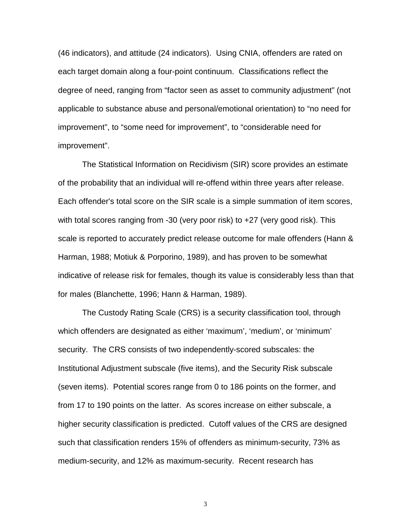(46 indicators), and attitude (24 indicators). Using CNIA, offenders are rated on each target domain along a four-point continuum. Classifications reflect the degree of need, ranging from "factor seen as asset to community adjustment" (not applicable to substance abuse and personal/emotional orientation) to "no need for improvement", to "some need for improvement", to "considerable need for improvement".

The Statistical Information on Recidivism (SIR) score provides an estimate of the probability that an individual will re-offend within three years after release. Each offender's total score on the SIR scale is a simple summation of item scores, with total scores ranging from -30 (very poor risk) to +27 (very good risk). This scale is reported to accurately predict release outcome for male offenders (Hann & Harman, 1988; Motiuk & Porporino, 1989), and has proven to be somewhat indicative of release risk for females, though its value is considerably less than that for males (Blanchette, 1996; Hann & Harman, 1989).

The Custody Rating Scale (CRS) is a security classification tool, through which offenders are designated as either 'maximum', 'medium', or 'minimum' security. The CRS consists of two independently-scored subscales: the Institutional Adjustment subscale (five items), and the Security Risk subscale (seven items). Potential scores range from 0 to 186 points on the former, and from 17 to 190 points on the latter. As scores increase on either subscale, a higher security classification is predicted. Cutoff values of the CRS are designed such that classification renders 15% of offenders as minimum-security, 73% as medium-security, and 12% as maximum-security. Recent research has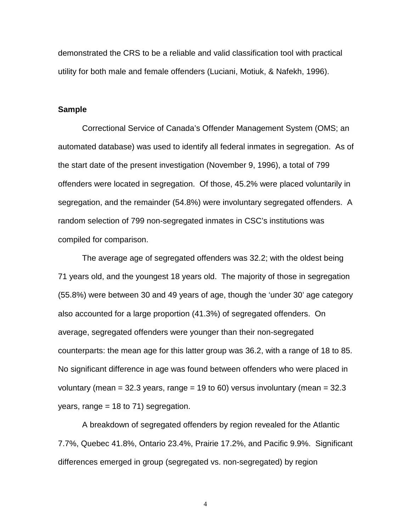demonstrated the CRS to be a reliable and valid classification tool with practical utility for both male and female offenders (Luciani, Motiuk, & Nafekh, 1996).

#### **Sample**

Correctional Service of Canada's Offender Management System (OMS; an automated database) was used to identify all federal inmates in segregation. As of the start date of the present investigation (November 9, 1996), a total of 799 offenders were located in segregation. Of those, 45.2% were placed voluntarily in segregation, and the remainder (54.8%) were involuntary segregated offenders. A random selection of 799 non-segregated inmates in CSC's institutions was compiled for comparison.

The average age of segregated offenders was 32.2; with the oldest being 71 years old, and the youngest 18 years old. The majority of those in segregation (55.8%) were between 30 and 49 years of age, though the 'under 30' age category also accounted for a large proportion (41.3%) of segregated offenders. On average, segregated offenders were younger than their non-segregated counterparts: the mean age for this latter group was 36.2, with a range of 18 to 85. No significant difference in age was found between offenders who were placed in voluntary (mean =  $32.3$  years, range =  $19$  to 60) versus involuntary (mean =  $32.3$ years, range = 18 to 71) segregation.

A breakdown of segregated offenders by region revealed for the Atlantic 7.7%, Quebec 41.8%, Ontario 23.4%, Prairie 17.2%, and Pacific 9.9%. Significant differences emerged in group (segregated vs. non-segregated) by region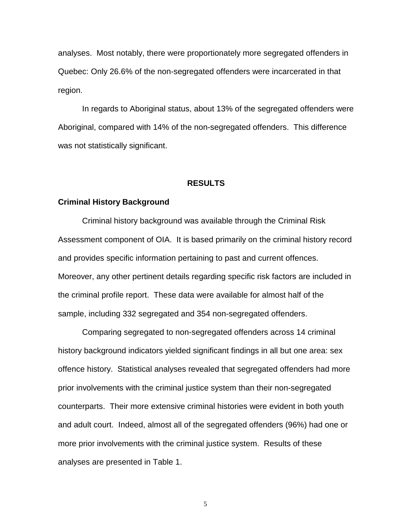analyses. Most notably, there were proportionately more segregated offenders in Quebec: Only 26.6% of the non-segregated offenders were incarcerated in that region.

In regards to Aboriginal status, about 13% of the segregated offenders were Aboriginal, compared with 14% of the non-segregated offenders. This difference was not statistically significant.

#### **RESULTS**

#### **Criminal History Background**

Criminal history background was available through the Criminal Risk Assessment component of OIA. It is based primarily on the criminal history record and provides specific information pertaining to past and current offences. Moreover, any other pertinent details regarding specific risk factors are included in the criminal profile report. These data were available for almost half of the sample, including 332 segregated and 354 non-segregated offenders.

Comparing segregated to non-segregated offenders across 14 criminal history background indicators yielded significant findings in all but one area: sex offence history. Statistical analyses revealed that segregated offenders had more prior involvements with the criminal justice system than their non-segregated counterparts. Their more extensive criminal histories were evident in both youth and adult court. Indeed, almost all of the segregated offenders (96%) had one or more prior involvements with the criminal justice system. Results of these analyses are presented in Table 1.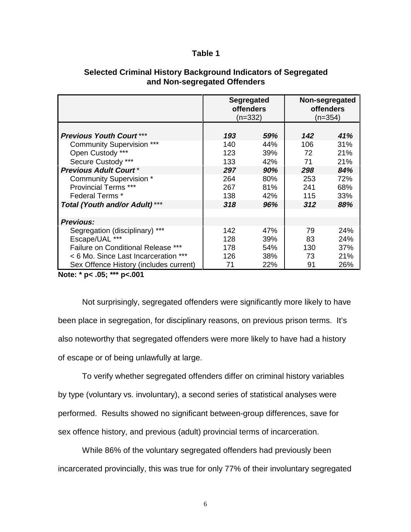#### **Table 1**

|                                           | <b>Segregated</b><br><b>offenders</b><br>$(n=332)$ |     |     | Non-segregated<br><b>offenders</b><br>$(n=354)$ |
|-------------------------------------------|----------------------------------------------------|-----|-----|-------------------------------------------------|
|                                           |                                                    |     |     |                                                 |
| <b>Previous Youth Court ***</b>           | 193                                                | 59% | 142 | 41%                                             |
| <b>Community Supervision ***</b>          | 140                                                | 44% | 106 | 31%                                             |
| Open Custody ***                          | 123                                                | 39% | 72  | 21%                                             |
| Secure Custody ***                        | 133                                                | 42% | 71  | 21%                                             |
| <b>Previous Adult Court*</b>              | 297                                                | 90% | 298 | 84%                                             |
| Community Supervision *                   | 264                                                | 80% | 253 | 72%                                             |
| <b>Provincial Terms ***</b>               | 267                                                | 81% | 241 | 68%                                             |
| Federal Terms *                           | 138                                                | 42% | 115 | 33%                                             |
| <b>Total (Youth and/or Adult) ***</b>     | 318                                                | 96% | 312 | 88%                                             |
| <b>Previous:</b>                          |                                                    |     |     |                                                 |
| Segregation (disciplinary) ***            | 142                                                | 47% | 79  | 24%                                             |
| Escape/UAL ***                            | 128                                                | 39% | 83  | 24%                                             |
| <b>Failure on Conditional Release ***</b> | 178                                                | 54% | 130 | 37%                                             |
| < 6 Mo. Since Last Incarceration ***      | 126                                                | 38% | 73  | 21%                                             |
| Sex Offence History (includes current)    | 71                                                 | 22% | 91  | 26%                                             |

### **Selected Criminal History Background Indicators of Segregated and Non-segregated Offenders**

**Note: \* p< .05; \*\*\* p<.001**

Not surprisingly, segregated offenders were significantly more likely to have been place in segregation, for disciplinary reasons, on previous prison terms. It's also noteworthy that segregated offenders were more likely to have had a history of escape or of being unlawfully at large.

To verify whether segregated offenders differ on criminal history variables by type (voluntary vs. involuntary), a second series of statistical analyses were performed. Results showed no significant between-group differences, save for sex offence history, and previous (adult) provincial terms of incarceration.

While 86% of the voluntary segregated offenders had previously been incarcerated provincially, this was true for only 77% of their involuntary segregated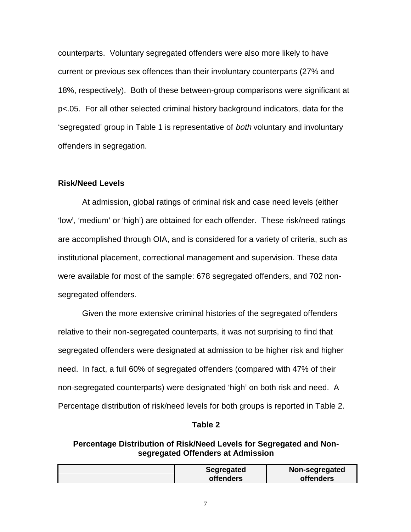counterparts. Voluntary segregated offenders were also more likely to have current or previous sex offences than their involuntary counterparts (27% and 18%, respectively). Both of these between-group comparisons were significant at p<.05. For all other selected criminal history background indicators, data for the 'segregated' group in Table 1 is representative of both voluntary and involuntary offenders in segregation.

#### **Risk/Need Levels**

At admission, global ratings of criminal risk and case need levels (either 'low', 'medium' or 'high') are obtained for each offender. These risk/need ratings are accomplished through OIA, and is considered for a variety of criteria, such as institutional placement, correctional management and supervision. These data were available for most of the sample: 678 segregated offenders, and 702 nonsegregated offenders.

Given the more extensive criminal histories of the segregated offenders relative to their non-segregated counterparts, it was not surprising to find that segregated offenders were designated at admission to be higher risk and higher need. In fact, a full 60% of segregated offenders (compared with 47% of their non-segregated counterparts) were designated 'high' on both risk and need. A Percentage distribution of risk/need levels for both groups is reported in Table 2.

#### **Table 2**

## **Percentage Distribution of Risk/Need Levels for Segregated and Nonsegregated Offenders at Admission**

| Segregated       | Non-segregated   |
|------------------|------------------|
| <b>offenders</b> | <b>offenders</b> |
|                  |                  |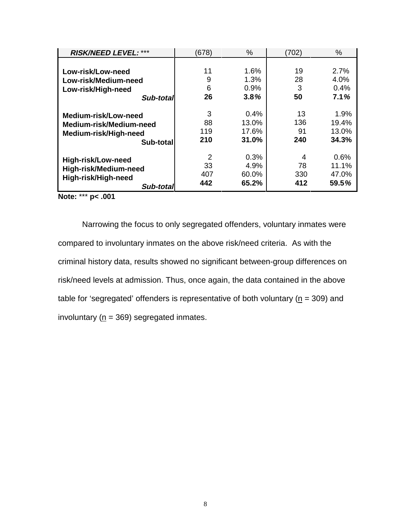| <b>RISK/NEED LEVEL: ***</b> | (678) | $\%$  | (702) | %     |
|-----------------------------|-------|-------|-------|-------|
|                             |       |       |       |       |
| Low-risk/Low-need           | 11    | 1.6%  | 19    | 2.7%  |
| Low-risk/Medium-need        | 9     | 1.3%  | 28    | 4.0%  |
| Low-risk/High-need          | 6     | 0.9%  | 3     | 0.4%  |
| Sub-total                   | 26    | 3.8%  | 50    | 7.1%  |
| Medium-risk/Low-need        | 3     | 0.4%  | 13    | 1.9%  |
| Medium-risk/Medium-need     | 88    | 13.0% | 136   | 19.4% |
| Medium-risk/High-need       | 119   | 17.6% | 91    | 13.0% |
| Sub-total                   | 210   | 31.0% | 240   | 34.3% |
| High-risk/Low-need          | 2     | 0.3%  | 4     | 0.6%  |
| High-risk/Medium-need       | 33    | 4.9%  | 78    | 11.1% |
| High-risk/High-need         | 407   | 60.0% | 330   | 47.0% |
| Sub-total                   | 442   | 65.2% | 412   | 59.5% |

**Note:** \*\*\* **p< .001**

Narrowing the focus to only segregated offenders, voluntary inmates were compared to involuntary inmates on the above risk/need criteria. As with the criminal history data, results showed no significant between-group differences on risk/need levels at admission. Thus, once again, the data contained in the above table for 'segregated' offenders is representative of both voluntary ( $n = 309$ ) and involuntary ( $n = 369$ ) segregated inmates.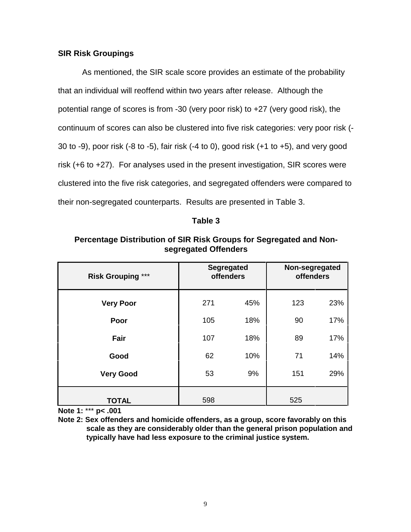### **SIR Risk Groupings**

As mentioned, the SIR scale score provides an estimate of the probability that an individual will reoffend within two years after release. Although the potential range of scores is from -30 (very poor risk) to +27 (very good risk), the continuum of scores can also be clustered into five risk categories: very poor risk (- 30 to -9), poor risk (-8 to -5), fair risk (-4 to 0), good risk (+1 to +5), and very good risk (+6 to +27). For analyses used in the present investigation, SIR scores were clustered into the five risk categories, and segregated offenders were compared to their non-segregated counterparts. Results are presented in Table 3.

#### **Table 3**

| Percentage Distribution of SIR Risk Groups for Segregated and Non- |
|--------------------------------------------------------------------|
| segregated Offenders                                               |

| <b>Risk Grouping ***</b> | <b>Segregated</b><br><b>offenders</b> |     |     |     | Non-segregated<br><b>offenders</b> |  |
|--------------------------|---------------------------------------|-----|-----|-----|------------------------------------|--|
| <b>Very Poor</b>         | 271                                   | 45% | 123 | 23% |                                    |  |
| Poor                     | 105                                   | 18% | 90  | 17% |                                    |  |
| Fair                     | 107                                   | 18% | 89  | 17% |                                    |  |
| Good                     | 62                                    | 10% | 71  | 14% |                                    |  |
| <b>Very Good</b>         | 53                                    | 9%  | 151 | 29% |                                    |  |
| <b>TOTAL</b>             | 598                                   |     | 525 |     |                                    |  |

**Note 1:** \*\*\* **p< .001**

**Note 2: Sex offenders and homicide offenders, as a group, score favorably on this scale as they are considerably older than the general prison population and typically have had less exposure to the criminal justice system.**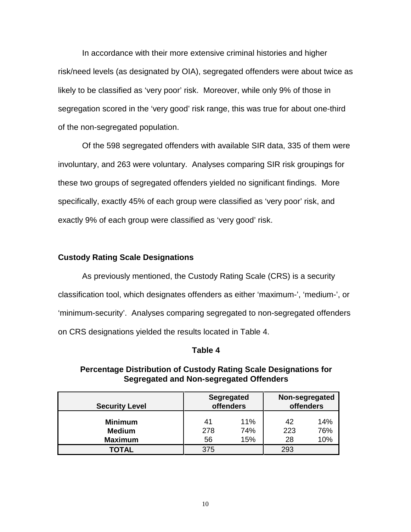In accordance with their more extensive criminal histories and higher risk/need levels (as designated by OIA), segregated offenders were about twice as likely to be classified as 'very poor' risk. Moreover, while only 9% of those in segregation scored in the 'very good' risk range, this was true for about one-third of the non-segregated population.

Of the 598 segregated offenders with available SIR data, 335 of them were involuntary, and 263 were voluntary. Analyses comparing SIR risk groupings for these two groups of segregated offenders yielded no significant findings. More specifically, exactly 45% of each group were classified as 'very poor' risk, and exactly 9% of each group were classified as 'very good' risk.

#### **Custody Rating Scale Designations**

As previously mentioned, the Custody Rating Scale (CRS) is a security classification tool, which designates offenders as either 'maximum-', 'medium-', or 'minimum-security'. Analyses comparing segregated to non-segregated offenders on CRS designations yielded the results located in Table 4.

#### **Table 4**

**Percentage Distribution of Custody Rating Scale Designations for**

# **Segregated and Non-segregated Offenders Segregated Non-segregated**

| <b>Security Level</b> | Segregated<br><b>offenders</b> |     | Non-segregated<br><b>offenders</b> |     |
|-----------------------|--------------------------------|-----|------------------------------------|-----|
| <b>Minimum</b>        | 41                             | 11% | 42                                 | 14% |
| <b>Medium</b>         | 278                            | 74% | 223                                | 76% |
| <b>Maximum</b>        | 56                             | 15% | 28                                 | 10% |
| <b>TOTAL</b>          | 375                            |     | 293                                |     |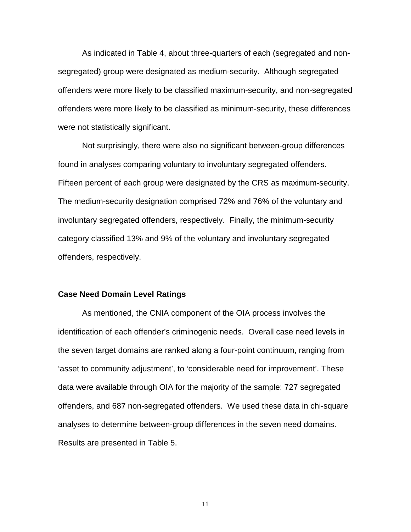As indicated in Table 4, about three-quarters of each (segregated and nonsegregated) group were designated as medium-security. Although segregated offenders were more likely to be classified maximum-security, and non-segregated offenders were more likely to be classified as minimum-security, these differences were not statistically significant.

Not surprisingly, there were also no significant between-group differences found in analyses comparing voluntary to involuntary segregated offenders. Fifteen percent of each group were designated by the CRS as maximum-security. The medium-security designation comprised 72% and 76% of the voluntary and involuntary segregated offenders, respectively. Finally, the minimum-security category classified 13% and 9% of the voluntary and involuntary segregated offenders, respectively.

#### **Case Need Domain Level Ratings**

As mentioned, the CNIA component of the OIA process involves the identification of each offender's criminogenic needs. Overall case need levels in the seven target domains are ranked along a four-point continuum, ranging from 'asset to community adjustment', to 'considerable need for improvement'. These data were available through OIA for the majority of the sample: 727 segregated offenders, and 687 non-segregated offenders. We used these data in chi-square analyses to determine between-group differences in the seven need domains. Results are presented in Table 5.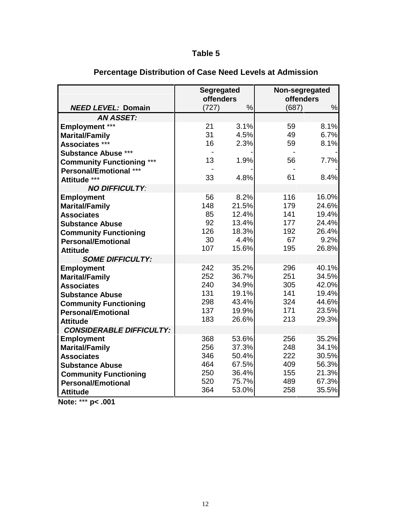# **Table 5**

|                                            | <b>Segregated</b><br>offenders |                |            | Non-segregated<br><b>offenders</b> |
|--------------------------------------------|--------------------------------|----------------|------------|------------------------------------|
| <b>NEED LEVEL: Domain</b>                  | (727)                          | %              | (687)      | %                                  |
| <b>AN ASSET:</b>                           |                                |                |            |                                    |
| <b>Employment ***</b>                      | 21                             | 3.1%           | 59         | 8.1%                               |
| <b>Marital/Family</b>                      | 31                             | 4.5%           | 49         | 6.7%                               |
| Associates ***                             | 16                             | 2.3%           | 59         | 8.1%                               |
| <b>Substance Abuse ***</b>                 |                                |                |            |                                    |
| <b>Community Functioning</b>               | 13                             | 1.9%           | 56         | 7.7%                               |
| <b>Personal/Emotional ***</b>              |                                |                |            |                                    |
| Attitude ***                               | 33                             | 4.8%           | 61         | 8.4%                               |
| <b>NO DIFFICULTY:</b>                      |                                |                |            |                                    |
| <b>Employment</b>                          | 56                             | 8.2%           | 116        | 16.0%                              |
| <b>Marital/Family</b>                      | 148                            | 21.5%          | 179        | 24.6%                              |
| <b>Associates</b>                          | 85                             | 12.4%          | 141        | 19.4%                              |
| <b>Substance Abuse</b>                     | 92<br>126                      | 13.4%<br>18.3% | 177<br>192 | 24.4%<br>26.4%                     |
| <b>Community Functioning</b>               | 30                             | 4.4%           | 67         | 9.2%                               |
| <b>Personal/Emotional</b>                  | 107                            | 15.6%          | 195        | 26.8%                              |
| <b>Attitude</b><br><b>SOME DIFFICULTY:</b> |                                |                |            |                                    |
|                                            | 242                            | 35.2%          | 296        | 40.1%                              |
| <b>Employment</b><br><b>Marital/Family</b> | 252                            | 36.7%          | 251        | 34.5%                              |
| <b>Associates</b>                          | 240                            | 34.9%          | 305        | 42.0%                              |
| <b>Substance Abuse</b>                     | 131                            | 19.1%          | 141        | 19.4%                              |
| <b>Community Functioning</b>               | 298                            | 43.4%          | 324        | 44.6%                              |
| <b>Personal/Emotional</b>                  | 137                            | 19.9%          | 171        | 23.5%                              |
| <b>Attitude</b>                            | 183                            | 26.6%          | 213        | 29.3%                              |
| <b>CONSIDERABLE DIFFICULTY:</b>            |                                |                |            |                                    |
| <b>Employment</b>                          | 368                            | 53.6%          | 256        | 35.2%                              |
| <b>Marital/Family</b>                      | 256                            | 37.3%          | 248        | 34.1%                              |
| <b>Associates</b>                          | 346                            | 50.4%          | 222        | 30.5%                              |
| <b>Substance Abuse</b>                     | 464                            | 67.5%          | 409        | 56.3%                              |
| <b>Community Functioning</b>               | 250                            | 36.4%          | 155        | 21.3%                              |
| <b>Personal/Emotional</b>                  | 520                            | 75.7%          | 489        | 67.3%                              |
| <b>Attitude</b>                            | 364                            | 53.0%          | 258        | 35.5%                              |

# **Percentage Distribution of Case Need Levels at Admission**

**Note:** \*\*\* **p< .001**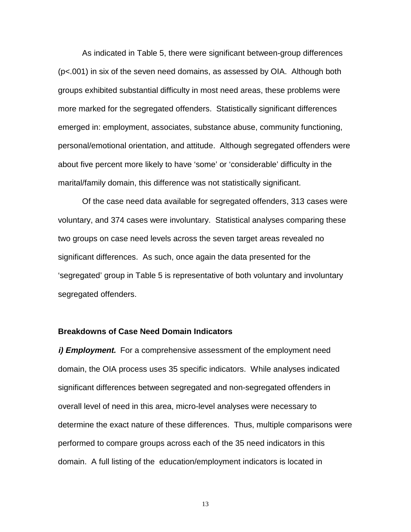As indicated in Table 5, there were significant between-group differences (p<.001) in six of the seven need domains, as assessed by OIA. Although both groups exhibited substantial difficulty in most need areas, these problems were more marked for the segregated offenders. Statistically significant differences emerged in: employment, associates, substance abuse, community functioning, personal/emotional orientation, and attitude. Although segregated offenders were about five percent more likely to have 'some' or 'considerable' difficulty in the marital/family domain, this difference was not statistically significant.

Of the case need data available for segregated offenders, 313 cases were voluntary, and 374 cases were involuntary. Statistical analyses comparing these two groups on case need levels across the seven target areas revealed no significant differences. As such, once again the data presented for the 'segregated' group in Table 5 is representative of both voluntary and involuntary segregated offenders.

#### **Breakdowns of Case Need Domain Indicators**

*i***) Employment.** For a comprehensive assessment of the employment need domain, the OIA process uses 35 specific indicators. While analyses indicated significant differences between segregated and non-segregated offenders in overall level of need in this area, micro-level analyses were necessary to determine the exact nature of these differences. Thus, multiple comparisons were performed to compare groups across each of the 35 need indicators in this domain. A full listing of the education/employment indicators is located in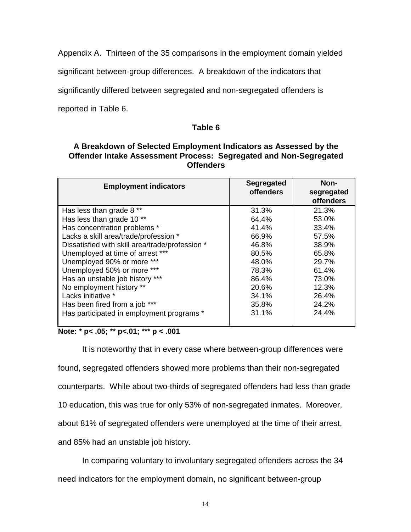Appendix A. Thirteen of the 35 comparisons in the employment domain yielded

significant between-group differences. A breakdown of the indicators that

significantly differed between segregated and non-segregated offenders is

reported in Table 6.

## **Table 6**

# **A Breakdown of Selected Employment Indicators as Assessed by the Offender Intake Assessment Process: Segregated and Non-Segregated Offenders**

| <b>Employment indicators</b>                    | <b>Segregated</b><br><b>offenders</b> | Non-<br>segregated<br><b>offenders</b> |
|-------------------------------------------------|---------------------------------------|----------------------------------------|
|                                                 |                                       |                                        |
| Has less than grade 8 **                        | 31.3%                                 | 21.3%                                  |
| Has less than grade 10**                        | 64.4%                                 | 53.0%                                  |
| Has concentration problems *                    | 41.4%                                 | 33.4%                                  |
| Lacks a skill area/trade/profession *           | 66.9%                                 | 57.5%                                  |
| Dissatisfied with skill area/trade/profession * | 46.8%                                 | 38.9%                                  |
| Unemployed at time of arrest ***                | 80.5%                                 | 65.8%                                  |
| Unemployed 90% or more ***                      | 48.0%                                 | 29.7%                                  |
| Unemployed 50% or more ***                      | 78.3%                                 | 61.4%                                  |
| Has an unstable job history ***                 | 86.4%                                 | 73.0%                                  |
| No employment history **                        | 20.6%                                 | 12.3%                                  |
| Lacks initiative *                              | 34.1%                                 | 26.4%                                  |
| Has been fired from a job ***                   | 35.8%                                 | 24.2%                                  |
| Has participated in employment programs *       | 31.1%                                 | 24.4%                                  |

# **Note: \* p< .05; \*\* p<.01; \*\*\* p < .001**

It is noteworthy that in every case where between-group differences were

found, segregated offenders showed more problems than their non-segregated

counterparts. While about two-thirds of segregated offenders had less than grade

10 education, this was true for only 53% of non-segregated inmates. Moreover,

about 81% of segregated offenders were unemployed at the time of their arrest,

and 85% had an unstable job history.

In comparing voluntary to involuntary segregated offenders across the 34

need indicators for the employment domain, no significant between-group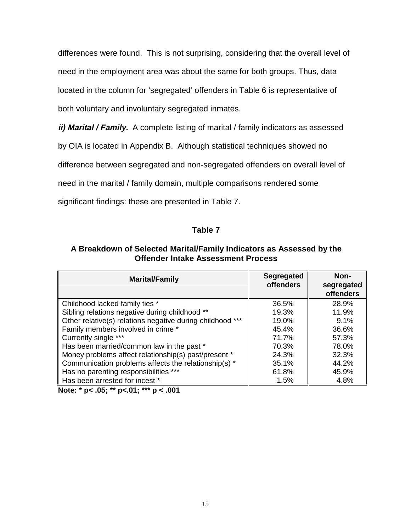differences were found. This is not surprising, considering that the overall level of need in the employment area was about the same for both groups. Thus, data located in the column for 'segregated' offenders in Table 6 is representative of both voluntary and involuntary segregated inmates.

**ii) Marital / Family.** A complete listing of marital / family indicators as assessed

by OIA is located in Appendix B. Although statistical techniques showed no

difference between segregated and non-segregated offenders on overall level of

need in the marital / family domain, multiple comparisons rendered some

significant findings: these are presented in Table 7.

#### **Table 7**

|  |                                           | A Breakdown of Selected Marital/Family Indicators as Assessed by the |
|--|-------------------------------------------|----------------------------------------------------------------------|
|  | <b>Offender Intake Assessment Process</b> |                                                                      |

| <b>Marital/Family</b>                                     | <b>Segregated</b><br><b>offenders</b> | Non-<br>segregated<br>offenders |
|-----------------------------------------------------------|---------------------------------------|---------------------------------|
| Childhood lacked family ties *                            | 36.5%                                 | 28.9%                           |
| Sibling relations negative during childhood **            | 19.3%                                 | 11.9%                           |
| Other relative(s) relations negative during childhood *** | 19.0%                                 | 9.1%                            |
| Family members involved in crime *                        | 45.4%                                 | 36.6%                           |
| Currently single ***                                      | 71.7%                                 | 57.3%                           |
| Has been married/common law in the past *                 | 70.3%                                 | 78.0%                           |
| Money problems affect relationship(s) past/present *      | 24.3%                                 | 32.3%                           |
| Communication problems affects the relationship(s) *      | 35.1%                                 | 44.2%                           |
| Has no parenting responsibilities ***                     | 61.8%                                 | 45.9%                           |
| Has been arrested for incest *                            | 1.5%                                  | 4.8%                            |

**Note: \* p< .05; \*\* p<.01; \*\*\* p < .001**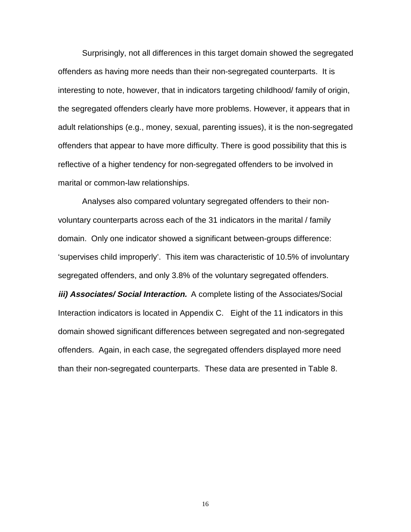Surprisingly, not all differences in this target domain showed the segregated offenders as having more needs than their non-segregated counterparts. It is interesting to note, however, that in indicators targeting childhood/ family of origin, the segregated offenders clearly have more problems. However, it appears that in adult relationships (e.g., money, sexual, parenting issues), it is the non-segregated offenders that appear to have more difficulty. There is good possibility that this is reflective of a higher tendency for non-segregated offenders to be involved in marital or common-law relationships.

Analyses also compared voluntary segregated offenders to their nonvoluntary counterparts across each of the 31 indicators in the marital / family domain. Only one indicator showed a significant between-groups difference: 'supervises child improperly'. This item was characteristic of 10.5% of involuntary segregated offenders, and only 3.8% of the voluntary segregated offenders.

*iii) Associates/ Social Interaction.* A complete listing of the Associates/Social Interaction indicators is located in Appendix C. Eight of the 11 indicators in this domain showed significant differences between segregated and non-segregated offenders. Again, in each case, the segregated offenders displayed more need than their non-segregated counterparts. These data are presented in Table 8.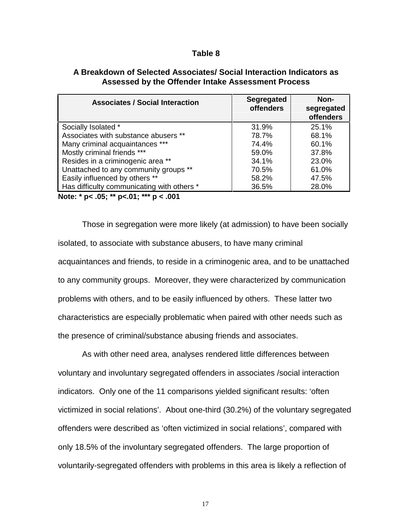#### **Table 8**

| <b>Associates / Social Interaction</b>                                                                                               | <b>Segregated</b><br><b>offenders</b> | Non-<br>segregated<br>offenders |
|--------------------------------------------------------------------------------------------------------------------------------------|---------------------------------------|---------------------------------|
| Socially Isolated *                                                                                                                  | 31.9%                                 | 25.1%                           |
| Associates with substance abusers **                                                                                                 | 78.7%                                 | 68.1%                           |
| Many criminal acquaintances ***                                                                                                      | 74.4%                                 | 60.1%                           |
| Mostly criminal friends ***                                                                                                          | 59.0%                                 | 37.8%                           |
| Resides in a criminogenic area **                                                                                                    | 34.1%                                 | 23.0%                           |
| Unattached to any community groups **                                                                                                | 70.5%                                 | 61.0%                           |
| Easily influenced by others **                                                                                                       | 58.2%                                 | 47.5%                           |
| Has difficulty communicating with others *                                                                                           | 36.5%                                 | 28.0%                           |
| $\mathbf{A}$ . $\mathbf{A}$ . $\mathbf{A}$ . $\mathbf{A}$ . $\mathbf{A}$ . $\mathbf{A}$ . $\mathbf{A}$ . $\mathbf{A}$ . $\mathbf{A}$ |                                       |                                 |

#### **A Breakdown of Selected Associates/ Social Interaction Indicators as Assessed by the Offender Intake Assessment Process**

**Note: \* p< .05; \*\* p<.01; \*\*\* p < .001**

Those in segregation were more likely (at admission) to have been socially isolated, to associate with substance abusers, to have many criminal acquaintances and friends, to reside in a criminogenic area, and to be unattached to any community groups. Moreover, they were characterized by communication problems with others, and to be easily influenced by others. These latter two characteristics are especially problematic when paired with other needs such as the presence of criminal/substance abusing friends and associates.

As with other need area, analyses rendered little differences between voluntary and involuntary segregated offenders in associates /social interaction indicators. Only one of the 11 comparisons yielded significant results: 'often victimized in social relations'. About one-third (30.2%) of the voluntary segregated offenders were described as 'often victimized in social relations', compared with only 18.5% of the involuntary segregated offenders. The large proportion of voluntarily-segregated offenders with problems in this area is likely a reflection of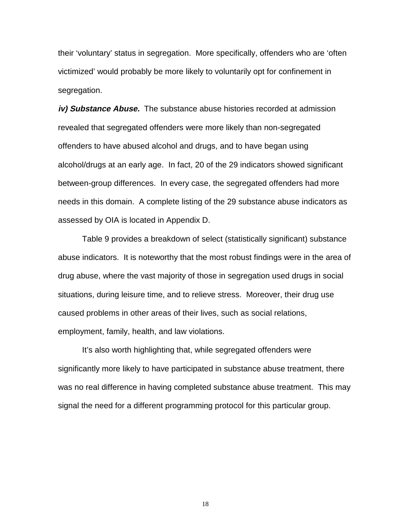their 'voluntary' status in segregation. More specifically, offenders who are 'often victimized' would probably be more likely to voluntarily opt for confinement in segregation.

**iv) Substance Abuse.** The substance abuse histories recorded at admission revealed that segregated offenders were more likely than non-segregated offenders to have abused alcohol and drugs, and to have began using alcohol/drugs at an early age. In fact, 20 of the 29 indicators showed significant between-group differences. In every case, the segregated offenders had more needs in this domain. A complete listing of the 29 substance abuse indicators as assessed by OIA is located in Appendix D.

Table 9 provides a breakdown of select (statistically significant) substance abuse indicators. It is noteworthy that the most robust findings were in the area of drug abuse, where the vast majority of those in segregation used drugs in social situations, during leisure time, and to relieve stress. Moreover, their drug use caused problems in other areas of their lives, such as social relations, employment, family, health, and law violations.

It's also worth highlighting that, while segregated offenders were significantly more likely to have participated in substance abuse treatment, there was no real difference in having completed substance abuse treatment. This may signal the need for a different programming protocol for this particular group.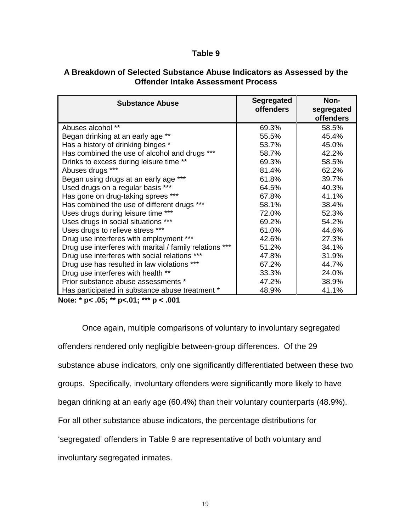#### **Table 9**

| <b>Substance Abuse</b>                                  | <b>Segregated</b> | Non-             |
|---------------------------------------------------------|-------------------|------------------|
|                                                         | <b>offenders</b>  | segregated       |
|                                                         |                   | <b>offenders</b> |
| Abuses alcohol **                                       | 69.3%             | 58.5%            |
| Began drinking at an early age **                       | 55.5%             | 45.4%            |
| Has a history of drinking binges *                      | 53.7%             | 45.0%            |
| Has combined the use of alcohol and drugs ***           | 58.7%             | 42.2%            |
| Drinks to excess during leisure time **                 | 69.3%             | 58.5%            |
| Abuses drugs ***                                        | 81.4%             | 62.2%            |
| Began using drugs at an early age ***                   | 61.8%             | 39.7%            |
| Used drugs on a regular basis ***                       | 64.5%             | 40.3%            |
| Has gone on drug-taking sprees ***                      | 67.8%             | 41.1%            |
| Has combined the use of different drugs ***             | 58.1%             | 38.4%            |
| Uses drugs during leisure time ***                      | 72.0%             | 52.3%            |
| Uses drugs in social situations ***                     | 69.2%             | 54.2%            |
| Uses drugs to relieve stress ***                        | 61.0%             | 44.6%            |
| Drug use interferes with employment ***                 | 42.6%             | 27.3%            |
| Drug use interferes with marital / family relations *** | 51.2%             | 34.1%            |
| Drug use interferes with social relations ***           | 47.8%             | 31.9%            |
| Drug use has resulted in law violations ***             | 67.2%             | 44.7%            |
| Drug use interferes with health **                      | 33.3%             | 24.0%            |
| Prior substance abuse assessments *                     | 47.2%             | 38.9%            |
| Has participated in substance abuse treatment *         | 48.9%             | 41.1%            |

# **A Breakdown of Selected Substance Abuse Indicators as Assessed by the Offender Intake Assessment Process**

**Note: \* p< .05; \*\* p<.01; \*\*\* p < .001**

Once again, multiple comparisons of voluntary to involuntary segregated offenders rendered only negligible between-group differences. Of the 29 substance abuse indicators, only one significantly differentiated between these two groups. Specifically, involuntary offenders were significantly more likely to have began drinking at an early age (60.4%) than their voluntary counterparts (48.9%). For all other substance abuse indicators, the percentage distributions for 'segregated' offenders in Table 9 are representative of both voluntary and involuntary segregated inmates.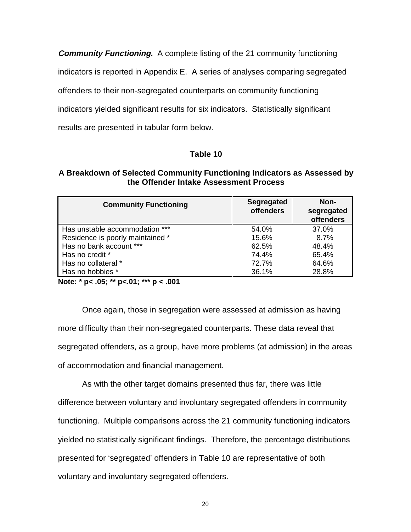**Community Functioning.** A complete listing of the 21 community functioning indicators is reported in Appendix E. A series of analyses comparing segregated offenders to their non-segregated counterparts on community functioning indicators yielded significant results for six indicators. Statistically significant results are presented in tabular form below.

# **Table 10**

#### **A Breakdown of Selected Community Functioning Indicators as Assessed by the Offender Intake Assessment Process**

| <b>Community Functioning</b>     | <b>Segregated</b><br><b>offenders</b> | Non-<br>segregated<br>offenders |
|----------------------------------|---------------------------------------|---------------------------------|
| Has unstable accommodation ***   | 54.0%                                 | 37.0%                           |
| Residence is poorly maintained * | 15.6%                                 | 8.7%                            |
| Has no bank account ***          | 62.5%                                 | 48.4%                           |
| Has no credit *                  | 74.4%                                 | 65.4%                           |
| Has no collateral *              | 72.7%                                 | 64.6%                           |
| Has no hobbies *                 | 36.1%                                 | 28.8%                           |

**Note: \* p< .05; \*\* p<.01; \*\*\* p < .001**

Once again, those in segregation were assessed at admission as having more difficulty than their non-segregated counterparts. These data reveal that segregated offenders, as a group, have more problems (at admission) in the areas of accommodation and financial management.

As with the other target domains presented thus far, there was little difference between voluntary and involuntary segregated offenders in community functioning. Multiple comparisons across the 21 community functioning indicators yielded no statistically significant findings. Therefore, the percentage distributions presented for 'segregated' offenders in Table 10 are representative of both voluntary and involuntary segregated offenders.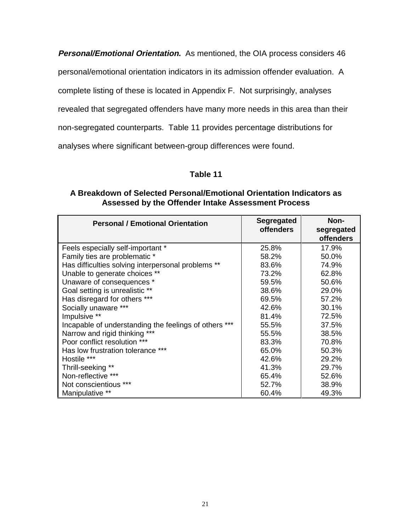**Personal/Emotional Orientation.** As mentioned, the OIA process considers 46

personal/emotional orientation indicators in its admission offender evaluation. A

complete listing of these is located in Appendix F. Not surprisingly, analyses

revealed that segregated offenders have many more needs in this area than their

non-segregated counterparts. Table 11 provides percentage distributions for

analyses where significant between-group differences were found.

# **Table 11**

## **A Breakdown of Selected Personal/Emotional Orientation Indicators as Assessed by the Offender Intake Assessment Process**

| <b>Personal / Emotional Orientation</b>               | Segregated<br><b>offenders</b> | Non-<br>segregated |
|-------------------------------------------------------|--------------------------------|--------------------|
|                                                       |                                | <b>offenders</b>   |
| Feels especially self-important *                     | 25.8%                          | 17.9%              |
| Family ties are problematic *                         | 58.2%                          | 50.0%              |
| Has difficulties solving interpersonal problems **    | 83.6%                          | 74.9%              |
| Unable to generate choices **                         | 73.2%                          | 62.8%              |
| Unaware of consequences *                             | 59.5%                          | 50.6%              |
| Goal setting is unrealistic **                        | 38.6%                          | 29.0%              |
| Has disregard for others ***                          | 69.5%                          | 57.2%              |
| Socially unaware ***                                  | 42.6%                          | 30.1%              |
| Impulsive **                                          | 81.4%                          | 72.5%              |
| Incapable of understanding the feelings of others *** | 55.5%                          | 37.5%              |
| Narrow and rigid thinking ***                         | 55.5%                          | 38.5%              |
| Poor conflict resolution ***                          | 83.3%                          | 70.8%              |
| Has low frustration tolerance ***                     | 65.0%                          | 50.3%              |
| Hostile ***                                           | 42.6%                          | 29.2%              |
| Thrill-seeking **                                     | 41.3%                          | 29.7%              |
| Non-reflective ***                                    | 65.4%                          | 52.6%              |
| Not conscientious ***                                 | 52.7%                          | 38.9%              |
| Manipulative **                                       | 60.4%                          | 49.3%              |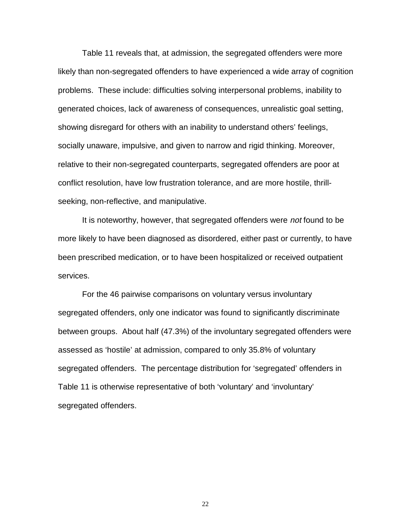Table 11 reveals that, at admission, the segregated offenders were more likely than non-segregated offenders to have experienced a wide array of cognition problems. These include: difficulties solving interpersonal problems, inability to generated choices, lack of awareness of consequences, unrealistic goal setting, showing disregard for others with an inability to understand others' feelings, socially unaware, impulsive, and given to narrow and rigid thinking. Moreover, relative to their non-segregated counterparts, segregated offenders are poor at conflict resolution, have low frustration tolerance, and are more hostile, thrillseeking, non-reflective, and manipulative.

It is noteworthy, however, that segregated offenders were not found to be more likely to have been diagnosed as disordered, either past or currently, to have been prescribed medication, or to have been hospitalized or received outpatient services.

For the 46 pairwise comparisons on voluntary versus involuntary segregated offenders, only one indicator was found to significantly discriminate between groups. About half (47.3%) of the involuntary segregated offenders were assessed as 'hostile' at admission, compared to only 35.8% of voluntary segregated offenders. The percentage distribution for 'segregated' offenders in Table 11 is otherwise representative of both 'voluntary' and 'involuntary' segregated offenders.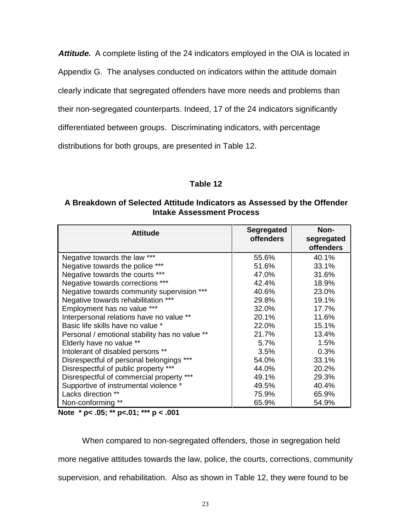**Attitude.** A complete listing of the 24 indicators employed in the OIA is located in Appendix G. The analyses conducted on indicators within the attitude domain clearly indicate that segregated offenders have more needs and problems than their non-segregated counterparts. Indeed, 17 of the 24 indicators significantly differentiated between groups. Discriminating indicators, with percentage distributions for both groups, are presented in Table 12.

# **Table 12**

# **A Breakdown of Selected Attitude Indicators as Assessed by the Offender Intake Assessment Process**

| <b>Attitude</b>                                | <b>Segregated</b><br><b>offenders</b> | Non-<br>segregated<br><b>offenders</b> |
|------------------------------------------------|---------------------------------------|----------------------------------------|
| Negative towards the law ***                   | 55.6%                                 | 40.1%                                  |
| Negative towards the police ***                | 51.6%                                 | 33.1%                                  |
| Negative towards the courts ***                | 47.0%                                 | 31.6%                                  |
| Negative towards corrections ***               | 42.4%                                 | 18.9%                                  |
| Negative towards community supervision ***     | 40.6%                                 | 23.0%                                  |
| Negative towards rehabilitation ***            | 29.8%                                 | 19.1%                                  |
| Employment has no value ***                    | 32.0%                                 | 17.7%                                  |
| Interpersonal relations have no value **       | 20.1%                                 | 11.6%                                  |
| Basic life skills have no value *              | 22.0%                                 | 15.1%                                  |
| Personal / emotional stability has no value ** | 21.7%                                 | 13.4%                                  |
| Elderly have no value **                       | 5.7%                                  | 1.5%                                   |
| Intolerant of disabled persons **              | 3.5%                                  | 0.3%                                   |
| Disrespectful of personal belongings ***       | 54.0%                                 | 33.1%                                  |
| Disrespectful of public property ***           | 44.0%                                 | 20.2%                                  |
| Disrespectful of commercial property ***       | 49.1%                                 | 29.3%                                  |
| Supportive of instrumental violence *          | 49.5%                                 | 40.4%                                  |
| Lacks direction **                             | 75.9%                                 | 65.9%                                  |
| Non-conforming **                              | 65.9%                                 | 54.9%                                  |

**Note \* p< .05; \*\* p<.01; \*\*\* p < .001**

When compared to non-segregated offenders, those in segregation held more negative attitudes towards the law, police, the courts, corrections, community supervision, and rehabilitation. Also as shown in Table 12, they were found to be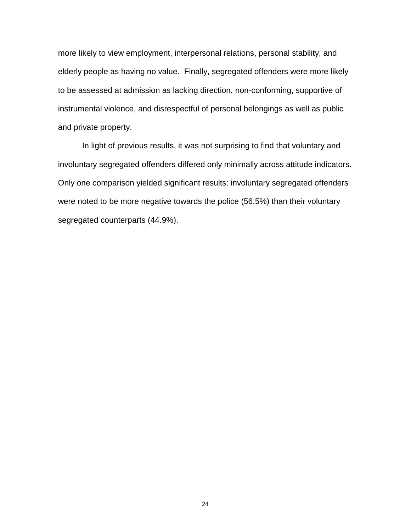more likely to view employment, interpersonal relations, personal stability, and elderly people as having no value. Finally, segregated offenders were more likely to be assessed at admission as lacking direction, non-conforming, supportive of instrumental violence, and disrespectful of personal belongings as well as public and private property.

In light of previous results, it was not surprising to find that voluntary and involuntary segregated offenders differed only minimally across attitude indicators. Only one comparison yielded significant results: involuntary segregated offenders were noted to be more negative towards the police (56.5%) than their voluntary segregated counterparts (44.9%).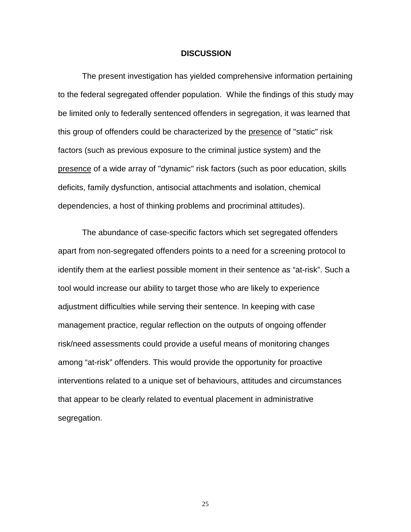#### **DISCUSSION**

The present investigation has yielded comprehensive information pertaining to the federal segregated offender population. While the findings of this study may be limited only to federally sentenced offenders in segregation, it was learned that this group of offenders could be characterized by the presence of "static" risk factors (such as previous exposure to the criminal justice system) and the presence of a wide array of "dynamic" risk factors (such as poor education, skills deficits, family dysfunction, antisocial attachments and isolation, chemical dependencies, a host of thinking problems and procriminal attitudes).

The abundance of case-specific factors which set segregated offenders apart from non-segregated offenders points to a need for a screening protocol to identify them at the earliest possible moment in their sentence as "at-risk". Such a tool would increase our ability to target those who are likely to experience adjustment difficulties while serving their sentence. In keeping with case management practice, regular reflection on the outputs of ongoing offender risk/need assessments could provide a useful means of monitoring changes among "at-risk" offenders. This would provide the opportunity for proactive interventions related to a unique set of behaviours, attitudes and circumstances that appear to be clearly related to eventual placement in administrative segregation.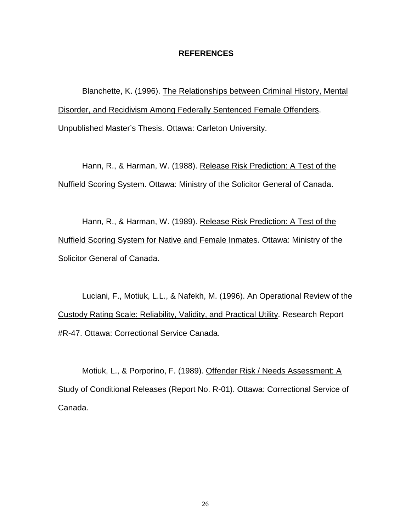#### **REFERENCES**

Blanchette, K. (1996). The Relationships between Criminal History, Mental Disorder, and Recidivism Among Federally Sentenced Female Offenders. Unpublished Master's Thesis. Ottawa: Carleton University.

Hann, R., & Harman, W. (1988). Release Risk Prediction: A Test of the Nuffield Scoring System. Ottawa: Ministry of the Solicitor General of Canada.

Hann, R., & Harman, W. (1989). Release Risk Prediction: A Test of the Nuffield Scoring System for Native and Female Inmates. Ottawa: Ministry of the Solicitor General of Canada.

Luciani, F., Motiuk, L.L., & Nafekh, M. (1996). An Operational Review of the Custody Rating Scale: Reliability, Validity, and Practical Utility. Research Report #R-47. Ottawa: Correctional Service Canada.

Motiuk, L., & Porporino, F. (1989). Offender Risk / Needs Assessment: A Study of Conditional Releases (Report No. R-01). Ottawa: Correctional Service of Canada.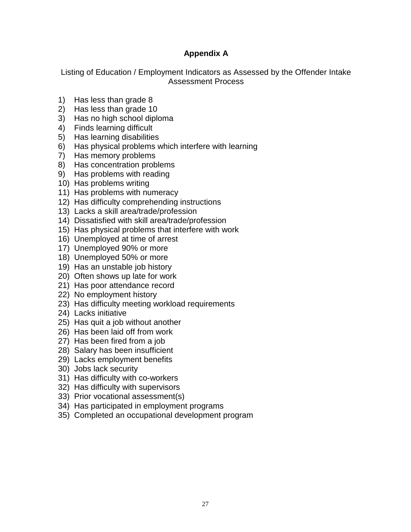# **Appendix A**

Listing of Education / Employment Indicators as Assessed by the Offender Intake Assessment Process

- 1) Has less than grade 8
- 2) Has less than grade 10
- 3) Has no high school diploma
- 4) Finds learning difficult
- 5) Has learning disabilities
- 6) Has physical problems which interfere with learning
- 7) Has memory problems
- 8) Has concentration problems
- 9) Has problems with reading
- 10) Has problems writing
- 11) Has problems with numeracy
- 12) Has difficulty comprehending instructions
- 13) Lacks a skill area/trade/profession
- 14) Dissatisfied with skill area/trade/profession
- 15) Has physical problems that interfere with work
- 16) Unemployed at time of arrest
- 17) Unemployed 90% or more
- 18) Unemployed 50% or more
- 19) Has an unstable job history
- 20) Often shows up late for work
- 21) Has poor attendance record
- 22) No employment history
- 23) Has difficulty meeting workload requirements
- 24) Lacks initiative
- 25) Has quit a job without another
- 26) Has been laid off from work
- 27) Has been fired from a job
- 28) Salary has been insufficient
- 29) Lacks employment benefits
- 30) Jobs lack security
- 31) Has difficulty with co-workers
- 32) Has difficulty with supervisors
- 33) Prior vocational assessment(s)
- 34) Has participated in employment programs
- 35) Completed an occupational development program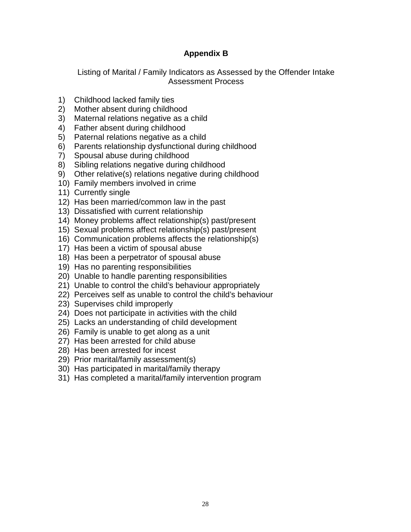# **Appendix B**

Listing of Marital / Family Indicators as Assessed by the Offender Intake Assessment Process

- 1) Childhood lacked family ties
- 2) Mother absent during childhood
- 3) Maternal relations negative as a child
- 4) Father absent during childhood
- 5) Paternal relations negative as a child
- 6) Parents relationship dysfunctional during childhood
- 7) Spousal abuse during childhood
- 8) Sibling relations negative during childhood
- 9) Other relative(s) relations negative during childhood
- 10) Family members involved in crime
- 11) Currently single
- 12) Has been married/common law in the past
- 13) Dissatisfied with current relationship
- 14) Money problems affect relationship(s) past/present
- 15) Sexual problems affect relationship(s) past/present
- 16) Communication problems affects the relationship(s)
- 17) Has been a victim of spousal abuse
- 18) Has been a perpetrator of spousal abuse
- 19) Has no parenting responsibilities
- 20) Unable to handle parenting responsibilities
- 21) Unable to control the child's behaviour appropriately
- 22) Perceives self as unable to control the child's behaviour
- 23) Supervises child improperly
- 24) Does not participate in activities with the child
- 25) Lacks an understanding of child development
- 26) Family is unable to get along as a unit
- 27) Has been arrested for child abuse
- 28) Has been arrested for incest
- 29) Prior marital/family assessment(s)
- 30) Has participated in marital/family therapy
- 31) Has completed a marital/family intervention program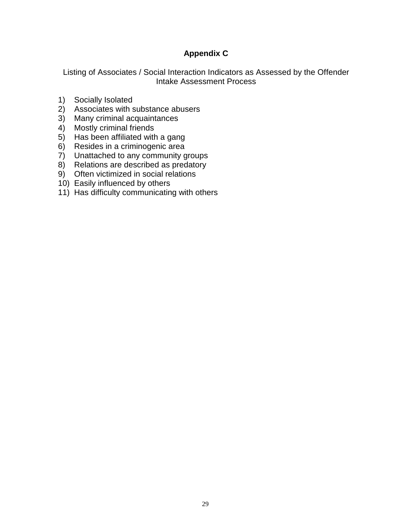# **Appendix C**

Listing of Associates / Social Interaction Indicators as Assessed by the Offender Intake Assessment Process

- 1) Socially Isolated
- 2) Associates with substance abusers
- 3) Many criminal acquaintances
- 4) Mostly criminal friends
- 5) Has been affiliated with a gang
- 6) Resides in a criminogenic area
- 7) Unattached to any community groups
- 8) Relations are described as predatory
- 9) Often victimized in social relations
- 10) Easily influenced by others
- 11) Has difficulty communicating with others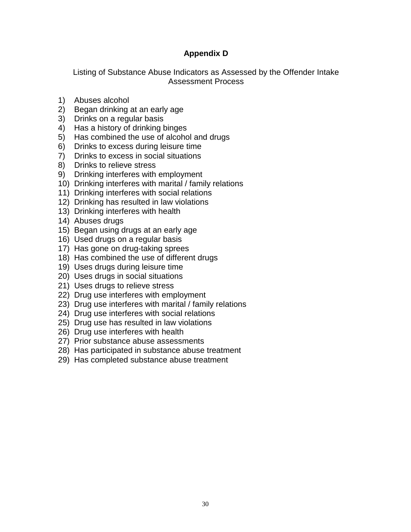# **Appendix D**

Listing of Substance Abuse Indicators as Assessed by the Offender Intake Assessment Process

- 1) Abuses alcohol
- 2) Began drinking at an early age
- 3) Drinks on a regular basis
- 4) Has a history of drinking binges
- 5) Has combined the use of alcohol and drugs
- 6) Drinks to excess during leisure time
- 7) Drinks to excess in social situations
- 8) Drinks to relieve stress
- 9) Drinking interferes with employment
- 10) Drinking interferes with marital / family relations
- 11) Drinking interferes with social relations
- 12) Drinking has resulted in law violations
- 13) Drinking interferes with health
- 14) Abuses drugs
- 15) Began using drugs at an early age
- 16) Used drugs on a regular basis
- 17) Has gone on drug-taking sprees
- 18) Has combined the use of different drugs
- 19) Uses drugs during leisure time
- 20) Uses drugs in social situations
- 21) Uses drugs to relieve stress
- 22) Drug use interferes with employment
- 23) Drug use interferes with marital / family relations
- 24) Drug use interferes with social relations
- 25) Drug use has resulted in law violations
- 26) Drug use interferes with health
- 27) Prior substance abuse assessments
- 28) Has participated in substance abuse treatment
- 29) Has completed substance abuse treatment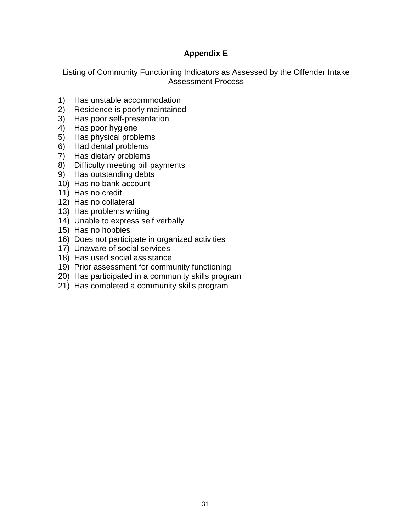# **Appendix E**

Listing of Community Functioning Indicators as Assessed by the Offender Intake Assessment Process

- 1) Has unstable accommodation
- 2) Residence is poorly maintained
- 3) Has poor self-presentation
- 4) Has poor hygiene
- 5) Has physical problems
- 6) Had dental problems
- 7) Has dietary problems
- 8) Difficulty meeting bill payments
- 9) Has outstanding debts
- 10) Has no bank account
- 11) Has no credit
- 12) Has no collateral
- 13) Has problems writing
- 14) Unable to express self verbally
- 15) Has no hobbies
- 16) Does not participate in organized activities
- 17) Unaware of social services
- 18) Has used social assistance
- 19) Prior assessment for community functioning
- 20) Has participated in a community skills program
- 21) Has completed a community skills program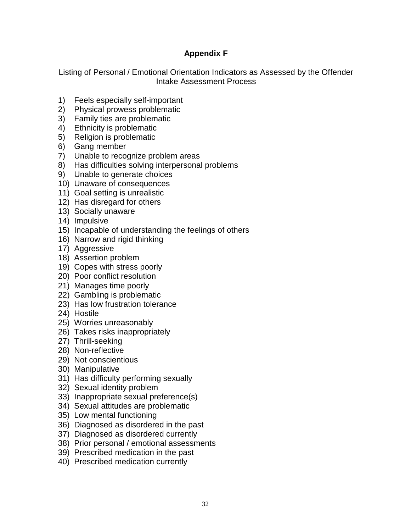# **Appendix F**

Listing of Personal / Emotional Orientation Indicators as Assessed by the Offender Intake Assessment Process

- 1) Feels especially self-important
- 2) Physical prowess problematic
- 3) Family ties are problematic
- 4) Ethnicity is problematic
- 5) Religion is problematic
- 6) Gang member
- 7) Unable to recognize problem areas
- 8) Has difficulties solving interpersonal problems
- 9) Unable to generate choices
- 10) Unaware of consequences
- 11) Goal setting is unrealistic
- 12) Has disregard for others
- 13) Socially unaware
- 14) Impulsive
- 15) Incapable of understanding the feelings of others
- 16) Narrow and rigid thinking
- 17) Aggressive
- 18) Assertion problem
- 19) Copes with stress poorly
- 20) Poor conflict resolution
- 21) Manages time poorly
- 22) Gambling is problematic
- 23) Has low frustration tolerance
- 24) Hostile
- 25) Worries unreasonably
- 26) Takes risks inappropriately
- 27) Thrill-seeking
- 28) Non-reflective
- 29) Not conscientious
- 30) Manipulative
- 31) Has difficulty performing sexually
- 32) Sexual identity problem
- 33) Inappropriate sexual preference(s)
- 34) Sexual attitudes are problematic
- 35) Low mental functioning
- 36) Diagnosed as disordered in the past
- 37) Diagnosed as disordered currently
- 38) Prior personal / emotional assessments
- 39) Prescribed medication in the past
- 40) Prescribed medication currently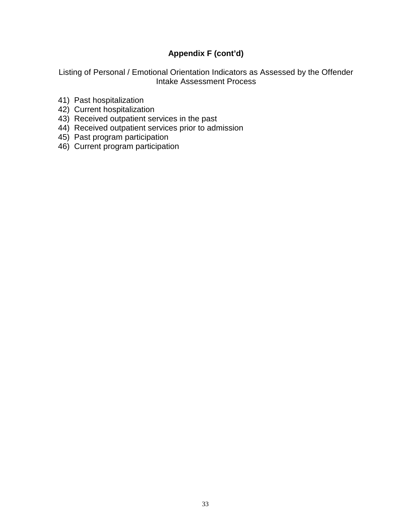# **Appendix F (cont'd)**

Listing of Personal / Emotional Orientation Indicators as Assessed by the Offender Intake Assessment Process

- 41) Past hospitalization
- 42) Current hospitalization
- 43) Received outpatient services in the past
- 44) Received outpatient services prior to admission
- 45) Past program participation
- 46) Current program participation